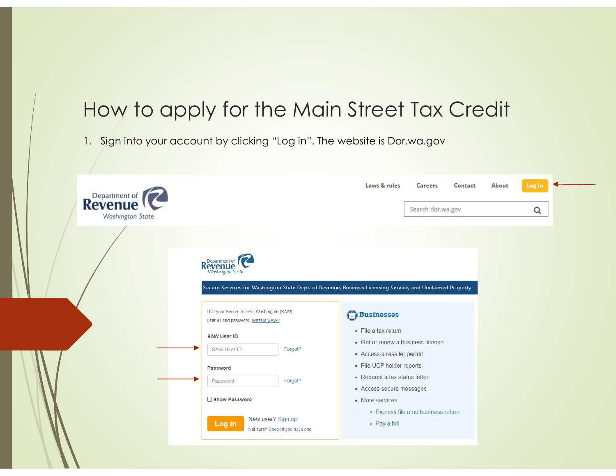# How to apply for the Main Street Tax Credit

1. Sign into your account by clicking "Log in". The website is Dor.wa.gov

| <b>Revenue</b><br><b>Washington State</b> |                                                                                                                                          | Laws & rules                                                                                                         | Careers<br>Contact<br>Search dor.wa.gov | About | Log in<br>$\alpha$ |  |
|-------------------------------------------|------------------------------------------------------------------------------------------------------------------------------------------|----------------------------------------------------------------------------------------------------------------------|-----------------------------------------|-------|--------------------|--|
|                                           | Revenue<br>Washington State<br>Secure Services for Washington State Dept. of Revenue, Business Licensing Service, and Unclaimed Property |                                                                                                                      |                                         |       |                    |  |
|                                           | Use your Secure Access Washington (SAW)<br>user ID and password. What is SAW?                                                            | <b>C</b> Businesses<br>• File a tax return                                                                           |                                         |       |                    |  |
|                                           | <b>SAW User ID</b><br>Forgot?<br>SAW User ID                                                                                             | • Get or renew a business license                                                                                    |                                         |       |                    |  |
|                                           | Password<br>Forgot?<br>Password                                                                                                          | • Access a reseller permit<br>• File UCP holder reports<br>• Request a tax status letter<br>• Access secure messages |                                         |       |                    |  |
|                                           | Show Password<br>New user? Sign up<br>Log in<br>Not sure? Check if you have one                                                          | • More services<br>o Pay a bill                                                                                      | o Express file a no business return     |       |                    |  |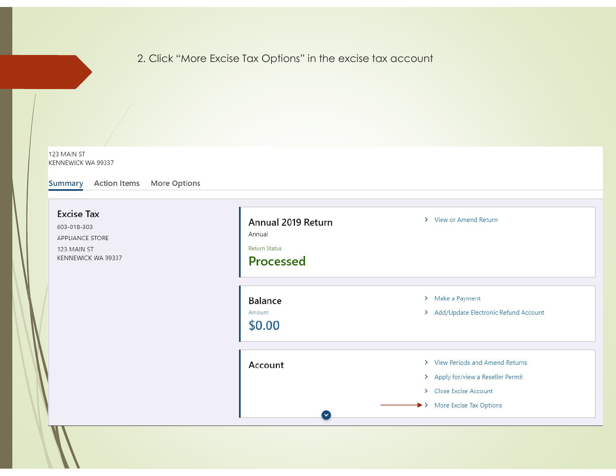## 2. Click "More Excise Tax Options" in the excise tax account

123 MAIN ST KENNEWICK WA 99337

Summary Action Items More Options

| <b>Excise Tax</b><br>603-018-303<br>APPLIANCE STORE<br>123 MAIN ST<br>KENNEWICK WA 99337 | Annual 2019 Return<br>Annual<br><b>Return Status</b><br>Processed | > View or Amend Return                                                                                                        |
|------------------------------------------------------------------------------------------|-------------------------------------------------------------------|-------------------------------------------------------------------------------------------------------------------------------|
|                                                                                          | Balance<br>Amount<br>\$0.00                                       | > Make a Payment<br>> Add/Update Electronic Refund Account                                                                    |
|                                                                                          | Account<br>$\overline{\mathsf{v}}$                                | > View Periods and Amend Returns<br>> Apply for/view a Reseller Permit<br>> Close Excise Account<br>> More Excise Tax Options |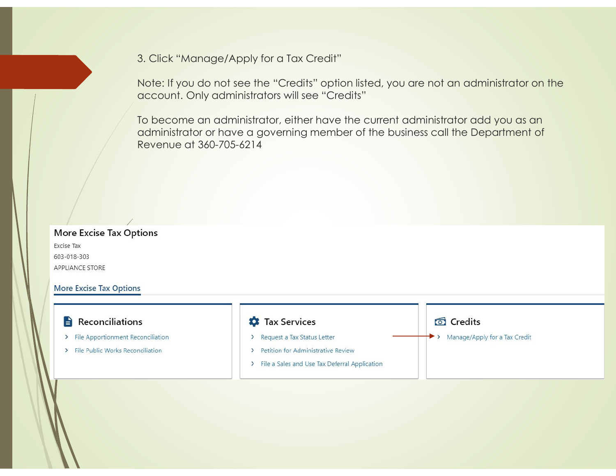3. Click "Manage/Apply for a Tax Credit"

Note: If you do not see the "Credits" option listed, you are not an administrator on the account. Only administrators will see "Credits"

To become an administrator, either have the current administrator add you as an administrator or have a governing member of the business call the Department of Revenue at 360-705-6214

## **More Excise Tax Options**

Excise Tax 603-018-303 APPLIANCE STORE

#### **More Excise Tax Options**

### $\blacksquare$  Reconciliations

- > File Apportionment Reconciliation
- > File Public Works Reconciliation

#### **D** Tax Services

- > Request a Tax Status Letter
- > Petition for Administrative Review
- > File a Sales and Use Tax Deferral Application

#### **তী** Credits

> Manage/Apply for a Tax Credit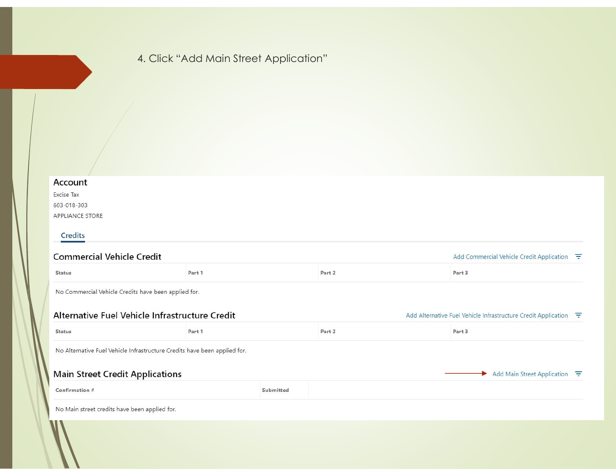# 4. Click "Add Main Street Application"

#### Account

| Excise Tax      |
|-----------------|
| 603-018-303     |
| APPLIANCE STORE |

#### Credits

| <b>Commercial Vehicle Credit</b>                     |                                                                           |           |        | Add Commercial Vehicle Credit Application $\overline{F}$                                 |  |
|------------------------------------------------------|---------------------------------------------------------------------------|-----------|--------|------------------------------------------------------------------------------------------|--|
| <b>Status</b>                                        | Part 1                                                                    |           | Part 2 | Part 3                                                                                   |  |
| No Commercial Vehicle Credits have been applied for. |                                                                           |           |        |                                                                                          |  |
|                                                      | Alternative Fuel Vehicle Infrastructure Credit                            |           |        | Add Alternative Fuel Vehicle Infrastructure Credit Application $\overline{\overline{F}}$ |  |
| <b>Status</b>                                        | Part 1                                                                    |           | Part 2 | Part 3                                                                                   |  |
|                                                      | No Alternative Fuel Vehicle Infrastructure Credits have been applied for. |           |        |                                                                                          |  |
| <b>Main Street Credit Applications</b>               |                                                                           |           |        | Add Main Street Application $\overline{\phantom{a}}$                                     |  |
| Confirmation #                                       |                                                                           | Submitted |        |                                                                                          |  |
| No Main street credits have been applied for.        |                                                                           |           |        |                                                                                          |  |
| W                                                    |                                                                           |           |        |                                                                                          |  |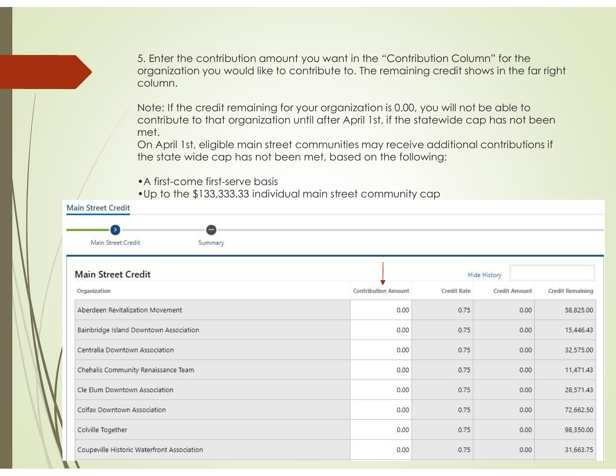5. Enter the contribution amount you want in the "Contribution Column" for the organization you would like to contribute to. The remaining credit shows in the far right column.

Note: If the credit remaining for your organization is 0.00, you will not be able to contribute to that organization until after April 1st, if the statewide cap has not been met.

 On April 1st, eligible main street communities may receive additional contributions if the state wide cap has not been met, based on the following:

•A first-come first-serve basis

•Up to the \$133,333.33 individual main street community cap

| <b>Main Street Credit</b><br>$\rightarrow$<br>o |                            |             |               |                  |
|-------------------------------------------------|----------------------------|-------------|---------------|------------------|
| Main Street Credit<br>Summary                   |                            |             |               |                  |
| <b>Main Street Credit</b>                       |                            |             | Hide History  |                  |
| Organization                                    | <b>Contribution Amount</b> | Credit Rate | Credit Amount | Credit Remaining |
| Aberdeen Revitalization Movement                | 0.00                       | 0.75        | 0.00          | 58,825.00        |
| Bainbridge Island Downtown Association          | 0.00                       | 0.75        | 0.00          | 15,446.43        |
| Centralia Downtown Association                  | 0.00                       | 0.75        | 0.00          | 32,575.00        |
| Chehalis Community Renaissance Team             | 0.00                       | 0.75        | 0.00          | 11,471.43        |
| Cle Elum Downtown Association                   | 0.00                       | 0.75        | 0.00          | 28,571.43        |
| Colfax Downtown Association                     | 0.00                       | 0.75        | 0.00          | 72,662.50        |
| Colville Together                               | 0.00                       | 0.75        | 0.00          | 98,350.00        |
| Coupeville Historic Waterfront Association      | 0.00                       | 0.75        | 0.00          | 31,663.75        |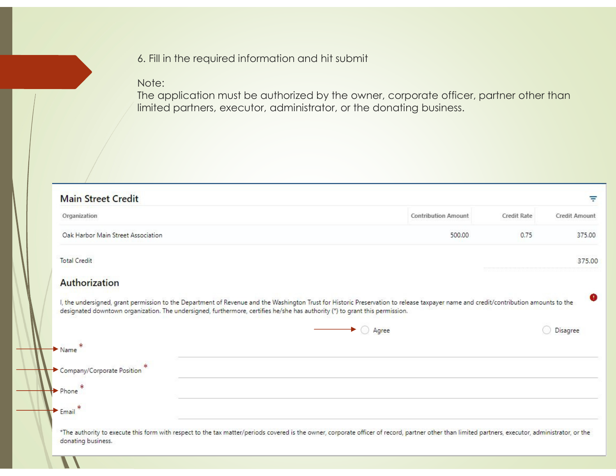## 6. Fill in the required information and hit submit

## Note:

 The application must be authorized by the owner, corporate officer, partner other than limited partners, executor, administrator, or the donating business.

| Organization                                                                                                                 | <b>Contribution Amount</b><br><b>Credit Rate</b>                                                                                                                                     | <b>Credit Amount</b> |
|------------------------------------------------------------------------------------------------------------------------------|--------------------------------------------------------------------------------------------------------------------------------------------------------------------------------------|----------------------|
| Oak Harbor Main Street Association                                                                                           | 500.00<br>0.75                                                                                                                                                                       | 375.00               |
| <b>Total Credit</b>                                                                                                          |                                                                                                                                                                                      | 375.00               |
| Authorization                                                                                                                |                                                                                                                                                                                      |                      |
|                                                                                                                              |                                                                                                                                                                                      |                      |
| designated downtown organization. The undersigned, furthermore, certifies he/she has authority (*) to grant this permission. | I, the undersigned, grant permission to the Department of Revenue and the Washington Trust for Historic Preservation to release taxpayer name and credit/contribution amounts to the | œ                    |
|                                                                                                                              | $\rightarrow$ $\bigcirc$ Agree                                                                                                                                                       | Disagree             |
| $\blacktriangleright$ Name                                                                                                   |                                                                                                                                                                                      |                      |
| Company/Corporate Position                                                                                                   |                                                                                                                                                                                      |                      |
| Phone                                                                                                                        |                                                                                                                                                                                      |                      |